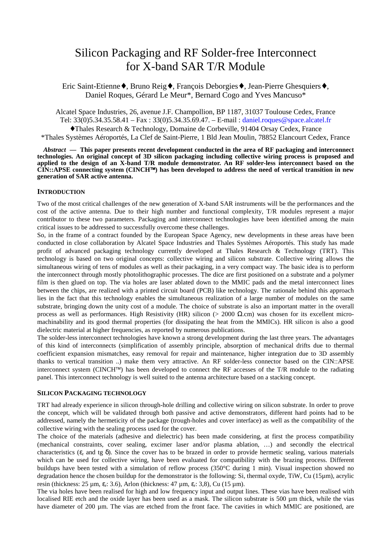# Silicon Packaging and RF Solder-free Interconnect for X-band SAR T/R Module

Eric Saint-Etienne♦, Bruno Reig♦, François Deborgies♦, Jean-Pierre Ghesquiers♦, Daniel Roques, Gérard Le Meur\*, Bernard Cogo and Yves Mancuso\*

Alcatel Space Industries, 26, avenue J.F. Champollion, BP 1187, 31037 Toulouse Cedex, France Tel: 33(0)5.34.35.58.41 – Fax : 33(0)5.34.35.69.47. – E-mail : [daniel.roques@space.alcatel.fr](mailto:daniel.roques@space.alcatel.fr) ♦Thales Research & Technology, Domaine de Corbeville, 91404 Orsay Cedex, France \*Thales Systèmes Aéroportés, La Clef de Saint-Pierre, 1 Bld Jean Moulin, 78852 Elancourt Cedex, France

*Abstract* **— This paper presents recent development conducted in the area of RF packaging and interconnect technologies. An original concept of 3D silicon packaging including collective wiring process is proposed and applied to the design of an X-band T/R module demonstrator. An RF solder-less interconnect based on the CIN::APSE connecting system (CINCH) has been developed to address the need of vertical transition in new generation of SAR active antenna.**

#### **INTRODUCTION**

Two of the most critical challenges of the new generation of X-band SAR instruments will be the performances and the cost of the active antenna. Due to their high number and functional complexity, T/R modules represent a major contributor to these two parameters. Packaging and interconnect technologies have been identified among the main critical issues to be addressed to successfully overcome these challenges.

So, in the frame of a contract founded by the European Space Agency, new developments in these areas have been conducted in close collaboration by Alcatel Space Industries and Thales Systèmes Aéroportés. This study has made profit of advanced packaging technology currently developed at Thales Research & Technology (TRT). This technology is based on two original concepts: collective wiring and silicon substrate. Collective wiring allows the simultaneous wiring of tens of modules as well as their packaging, in a very compact way. The basic idea is to perform the interconnect through mostly photolithographic processes. The dice are first positioned on a substrate and a polymer film is then glued on top. The via holes are laser ablated down to the MMIC pads and the metal interconnect lines between the chips, are realized with a printed circuit board (PCB) like technology. The rationale behind this approach lies in the fact that this technology enables the simultaneous realization of a large number of modules on the same substrate, bringing down the unity cost of a module. The choice of substrate is also an important matter in the overall process as well as performances. High Resistivity (HR) silicon (> 2000 Ω.cm) was chosen for its excellent micromachinability and its good thermal properties (for dissipating the heat from the MMICs). HR silicon is also a good dielectric material at higher frequencies, as reported by numerous publications.

The solder-less interconnect technologies have known a strong development during the last three years. The advantages of this kind of interconnects (simplification of assembly principle, absorption of mechanical drifts due to thermal coefficient expansion mismatches, easy removal for repair and maintenance, higher integration due to 3D assembly thanks to vertical transition ..) make them very attractive. An RF solder-less connector based on the CIN::APSE interconnect system (CINCH<sup> $M$ </sup>) has been developed to connect the RF accesses of the T/R module to the radiating panel. This interconnect technology is well suited to the antenna architecture based on a stacking concept.

#### **SILICON PACKAGING TECHNOLOGY**

TRT had already experience in silicon through-hole drilling and collective wiring on silicon substrate. In order to prove the concept, which will be validated through both passive and active demonstrators, different hard points had to be addressed, namely the hermeticity of the package (trough-holes and cover interface) as well as the compatibility of the collective wiring with the sealing process used for the cover.

The choice of the materials (adhesive and dielectric) has been made considering, at first the process compatibility (mechanical constraints, cover sealing, excimer laser and/or plasma ablation, …) and secondly the electrical characteristics ( $\varepsilon$ , and tg  $\delta$ ). Since the cover has to be brazed in order to provide hermetic sealing, various materials which can be used for collective wiring, have been evaluated for compatibility with the brazing process. Different buildups have been tested with a simulation of reflow process (350°C during 1 min). Visual inspection showed no degradation hence the chosen buildup for the demonstrator is the following: Si, thermal oxyde, TiW, Cu (15µm), acrylic resin (thickness:  $25 \text{ µm}, \varepsilon$ .;  $3.6$ ), Arlon (thickness:  $47 \text{ µm}, \varepsilon$ .;  $3.8$ ), Cu ( $15 \text{ µm}$ ).

The via holes have been realised for high and low frequency input and output lines. These vias have been realised with localised RIE etch and the oxide layer has been used as a mask. The silicon substrate is  $500 \mu m$  thick, while the vias have diameter of 200 µm. The vias are etched from the front face. The cavities in which MMIC are positioned, are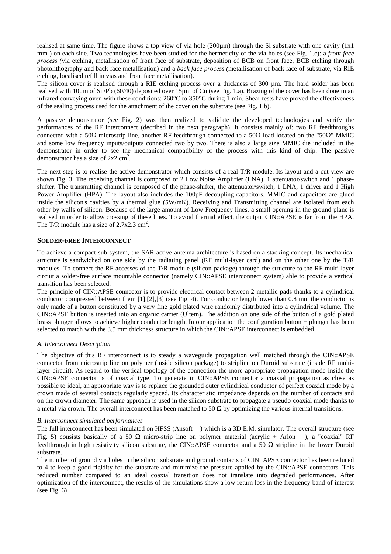realised at same time. The figure shows a top view of via hole (200 $\mu$ m) through the Si substrate with one cavity (1x1) mm<sup>2</sup>) on each side. Two technologies have been studied for the hermeticity of the via holes (see Fig. 1.c): a *front face process (*via etching, metallisation of front face of substrate, deposition of BCB on front face, BCB etching through photolithography and back face metallisation) and a *back face process (*metallisation of back face of substrate, via RIE etching, localised refill in vias and front face metallisation).

The silicon cover is realised through a RIE etching process over a thickness of 300 µm. The hard solder has been realised with 10µm of Sn/Pb (60/40) deposited over 15µm of Cu (see Fig. 1.a). Brazing of the cover has been done in an infrared conveying oven with these conditions:  $260^{\circ}$ C to  $350^{\circ}$ C during 1 min. Shear tests have proved the effectiveness of the sealing process used for the attachment of the cover on the substrate (see Fig. 1.b).

A passive demonstrator (see Fig. 2) was then realized to validate the developed technologies and verify the performances of the RF interconnect (decribed in the next paragraph). It consists mainly of: two RF feedthroughs connected with a 50Ω microstrip line, another RF feedthrough connected to a 50Ω load located on the "50Ω" MMIC and some low frequency inputs/outputs connected two by two. There is also a large size MMIC die included in the demonstrator in order to see the mechanical compatibility of the process with this kind of chip. The passive demonstrator has a size of  $2x2 \text{ cm}^2$ .

The next step is to realise the active demonstrator which consists of a real T/R module. Its layout and a cut view are shown Fig. 3. The receiving channel is composed of 2 Low Noise Amplifier (LNA), 1 attenuator/switch and 1 phaseshifter. The transmitting channel is composed of the phase-shifter, the attenuator/switch, 1 LNA, 1 driver and 1 High Power Amplifier (HPA). The layout also includes the 100pF decoupling capacitors. MMIC and capacitors are glued inside the silicon's cavities by a thermal glue (5W/mK). Receiving and Transmitting channel are isolated from each other by walls of silicon. Because of the large amount of Low Frequency lines, a small opening in the ground plane is realised in order to allow crossing of these lines. To avoid thermal effect, the output CIN::APSE is far from the HPA. The T/R module has a size of  $2.7x2.3$  cm<sup>2</sup>.

## **SOLDER-FREE INTERCONNECT**

To achieve a compact sub-system, the SAR active antenna architecture is based on a stacking concept. Its mechanical structure is sandwiched on one side by the radiating panel (RF multi-layer card) and on the other one by the T/R modules. To connect the RF accesses of the T/R module (silicon package) through the structure to the RF multi-layer circuit a solder-free surface mountable connector (namely CIN::APSE interconnect system) able to provide a vertical transition has been selected.

The principle of CIN::APSE connector is to provide electrical contact between 2 metallic pads thanks to a cylindrical conductor compressed between them [1],[2],[3] (see Fig. 4). For conductor length lower than 0.8 mm the conductor is only made of a button constituted by a very fine gold plated wire randomly distributed into a cylindrical volume. The CIN::APSE button is inserted into an organic carrier (Ultem). The addition on one side of the button of a gold plated brass plunger allows to achieve higher conductor length. In our application the configuration button + plunger has been selected to match with the 3.5 mm thickness structure in which the CIN::APSE interconnect is embedded.

#### *A. Interconnect Description*

The objective of this RF interconnect is to steady a waveguide propagation well matched through the CIN::APSE connector from microstrip line on polymer (inside silicon package) to stripline on Duroid substrate (inside RF multilayer circuit). As regard to the vertical topology of the connection the more appropriate propagation mode inside the CIN::APSE connector is of coaxial type. To generate in CIN::APSE connector a coaxial propagation as close as possible to ideal, an appropriate way is to replace the grounded outer cylindrical conductor of perfect coaxial mode by a crown made of several contacts regularly spaced. Its characteristic impedance depends on the number of contacts and on the crown diameter. The same approach is used in the silicon substrate to propagate a pseudo-coaxial mode thanks to a metal via crown. The overall interconnect has been matched to 50  $\Omega$  by optimizing the various internal transitions.

#### *B. Interconnect simulated performances*

The full interconnect has been simulated on HFSS (Ansoft  $TM$ ) which is a 3D E.M. simulator. The overall structure (see Fig. 5) consists basically of a 50  $\Omega$  micro-strip line on polymer material (acrylic + Arlon <sup>TM</sup>), a "coaxial" RF feedthrough in high resistivity silicon substrate, the CIN::APSE connector and a 50 Ω stripline in the lower Duroid substrate.

The number of ground via holes in the silicon substrate and ground contacts of CIN::APSE connector has been reduced to 4 to keep a good rigidity for the substrate and minimize the pressure applied by the CIN::APSE connectors. This reduced number compared to an ideal coaxial transition does not translate into degraded performances. After optimization of the interconnect, the results of the simulations show a low return loss in the frequency band of interest (see Fig. 6).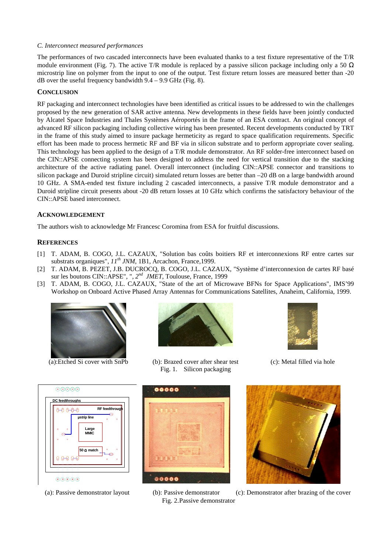## *C. Interconnect measured performances*

The performances of two cascaded interconnects have been evaluated thanks to a test fixture representative of the T/R module environment (Fig. 7). The active T/R module is replaced by a passive silicon package including only a 50  $\Omega$ microstrip line on polymer from the input to one of the output. Test fixture return losses are measured better than -20 dB over the useful frequency bandwidth  $9.4 - 9.9$  GHz (Fig. 8).

# **CONCLUSION**

RF packaging and interconnect technologies have been identified as critical issues to be addressed to win the challenges proposed by the new generation of SAR active antenna. New developments in these fields have been jointly conducted by Alcatel Space Industries and Thales Systèmes Aéroportés in the frame of an ESA contract. An original concept of advanced RF silicon packaging including collective wiring has been presented. Recent developments conducted by TRT in the frame of this study aimed to insure package hermeticity as regard to space qualification requirements. Specific effort has been made to process hermetic RF and BF via in silicon substrate and to perform appropriate cover sealing. This technology has been applied to the design of a T/R module demonstrator. An RF solder-free interconnect based on the CIN::APSE connecting system has been designed to address the need for vertical transition due to the stacking architecture of the active radiating panel. Overall interconnect (including CIN::APSE connector and transitions to silicon package and Duroid stripline circuit) simulated return losses are better than –20 dB on a large bandwidth around 10 GHz. A SMA-ended test fixture including 2 cascaded interconnects, a passive T/R module demonstrator and a Duroid stripline circuit presents about -20 dB return losses at 10 GHz which confirms the satisfactory behaviour of the CIN::APSE based interconnect.

# **ACKNOWLEDGEMENT**

The authors wish to acknowledge Mr Francesc Coromina from ESA for fruitful discussions.

## **REFERENCES**

- [1] T. ADAM, B. COGO, J.L. CAZAUX, "Solution bas coûts boitiers RF et interconnexions RF entre cartes sur substrats organiques", *11th JNM*, 1B1, Arcachon, France,1999.
- [2] T. ADAM, B. PEZET, J.B. DUCROCQ, B. COGO, J.L. CAZAUX, "Système d'interconnexion de cartes RF basé sur les boutons CIN::APSE", "*, 2nd JMET*, Toulouse, France, 1999
- [3] T. ADAM, B. COGO, J.L. CAZAUX, "State of the art of Microwave BFNs for Space Applications", IMS'99 Workshop on Onboard Active Phased Array Antennas for Communications Satellites, Anaheim, California, 1999.



(a):Etched Si cover with SnPb (b): Brazed cover after shear test (c): Metal filled via hole







Fig. 1. Silicon packaging  $00000$ 



Fig. 2.Passive demonstrator



(a): Passive demonstrator layout (b): Passive demonstrator (c): Demonstrator after brazing of the cover